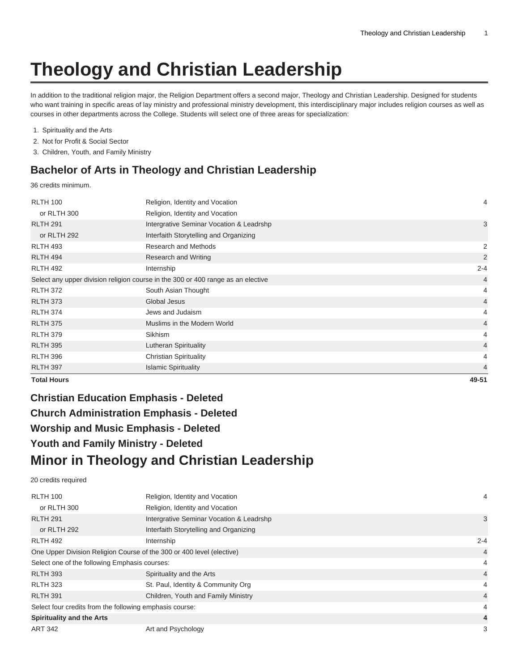# **Theology and Christian Leadership**

In addition to the traditional religion major, the Religion Department offers a second major, Theology and Christian Leadership. Designed for students who want training in specific areas of lay ministry and professional ministry development, this interdisciplinary major includes religion courses as well as courses in other departments across the College. Students will select one of three areas for specialization:

| 1. Spirituality and the Arts |  |  |  |  |  |
|------------------------------|--|--|--|--|--|
|------------------------------|--|--|--|--|--|

- 2. Not for Profit & Social Sector
- 3. Children, Youth, and Family Ministry

# **Bachelor of Arts in Theology and Christian Leadership**

36 credits minimum.

| <b>RLTH 100</b>    | Religion, Identity and Vocation                                                  | 4              |
|--------------------|----------------------------------------------------------------------------------|----------------|
| or RLTH 300        | Religion, Identity and Vocation                                                  |                |
| <b>RLTH 291</b>    | Intergrative Seminar Vocation & Leadrshp                                         | 3              |
| or RLTH 292        | Interfaith Storytelling and Organizing                                           |                |
| <b>RLTH 493</b>    | Research and Methods                                                             | 2              |
| <b>RLTH 494</b>    | Research and Writing                                                             | 2              |
| <b>RLTH 492</b>    | Internship                                                                       | $2 - 4$        |
|                    | Select any upper division religion course in the 300 or 400 range as an elective | $\overline{4}$ |
| <b>RLTH 372</b>    | South Asian Thought                                                              | 4              |
| <b>RLTH 373</b>    | Global Jesus                                                                     | $\overline{4}$ |
| <b>RLTH 374</b>    | Jews and Judaism                                                                 | 4              |
| <b>RLTH 375</b>    | Muslims in the Modern World                                                      | $\overline{4}$ |
| <b>RLTH 379</b>    | Sikhism                                                                          | 4              |
| <b>RLTH 395</b>    | Lutheran Spirituality                                                            | $\overline{4}$ |
| <b>RLTH 396</b>    | <b>Christian Spirituality</b>                                                    | 4              |
| <b>RLTH 397</b>    | <b>Islamic Spirituality</b>                                                      | 4              |
| <b>Total Hours</b> |                                                                                  | 49-51          |

# **Christian Education Emphasis - Deleted Church Administration Emphasis - Deleted Worship and Music Emphasis - Deleted Youth and Family Ministry - Deleted Minor in Theology and Christian Leadership**

20 credits required

| <b>RLTH 100</b>                                                       | Religion, Identity and Vocation          | 4              |
|-----------------------------------------------------------------------|------------------------------------------|----------------|
| or RLTH 300                                                           | Religion, Identity and Vocation          |                |
| <b>RLTH 291</b>                                                       | Intergrative Seminar Vocation & Leadrshp | 3              |
| or RLTH 292                                                           | Interfaith Storytelling and Organizing   |                |
| <b>RLTH 492</b>                                                       | Internship                               | $2 - 4$        |
| One Upper Division Religion Course of the 300 or 400 level (elective) |                                          | $\overline{4}$ |
| Select one of the following Emphasis courses:                         |                                          | 4              |
| <b>RLTH 393</b>                                                       | Spirituality and the Arts                | $\overline{4}$ |
| <b>RLTH 323</b>                                                       | St. Paul, Identity & Community Org       | 4              |
| <b>RLTH 391</b>                                                       | Children, Youth and Family Ministry      | $\overline{4}$ |
| Select four credits from the following emphasis course:               |                                          |                |
| <b>Spirituality and the Arts</b>                                      |                                          | 4              |
| <b>ART 342</b>                                                        | Art and Psychology                       | 3              |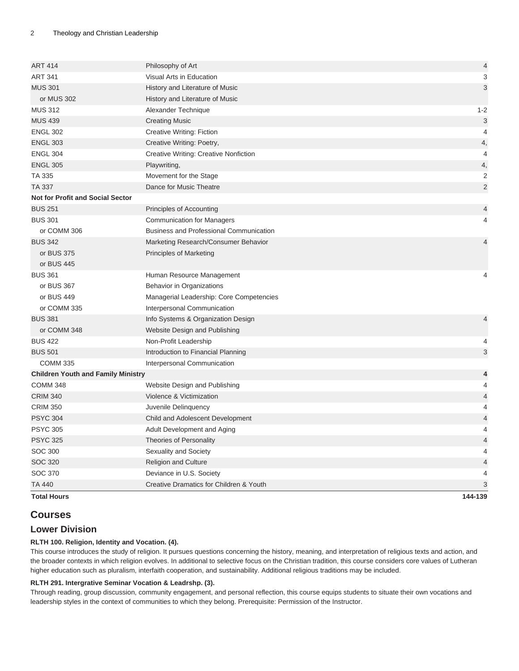| <b>ART 414</b>                            | Philosophy of Art                              | 4                         |
|-------------------------------------------|------------------------------------------------|---------------------------|
| <b>ART 341</b>                            | Visual Arts in Education                       | 3                         |
| <b>MUS 301</b>                            | History and Literature of Music                | 3                         |
| or MUS 302                                | History and Literature of Music                |                           |
| <b>MUS 312</b>                            | Alexander Technique                            | $1 - 2$                   |
| <b>MUS 439</b>                            | <b>Creating Music</b>                          | $\ensuremath{\mathsf{3}}$ |
| <b>ENGL 302</b>                           | Creative Writing: Fiction                      | $\overline{4}$            |
| <b>ENGL 303</b>                           | Creative Writing: Poetry,                      | 4,                        |
| <b>ENGL 304</b>                           | Creative Writing: Creative Nonfiction          | $\overline{4}$            |
| <b>ENGL 305</b>                           | Playwriting,                                   | 4,                        |
| TA 335                                    | Movement for the Stage                         | $\overline{c}$            |
| <b>TA 337</b>                             | Dance for Music Theatre                        | $\mathbf 2$               |
| <b>Not for Profit and Social Sector</b>   |                                                |                           |
| <b>BUS 251</b>                            | Principles of Accounting                       | 4                         |
| <b>BUS 301</b>                            | <b>Communication for Managers</b>              | 4                         |
| or COMM 306                               | <b>Business and Professional Communication</b> |                           |
| <b>BUS 342</b>                            | Marketing Research/Consumer Behavior           | $\overline{4}$            |
| or BUS 375                                | Principles of Marketing                        |                           |
| or BUS 445                                |                                                |                           |
| <b>BUS 361</b>                            | Human Resource Management                      | 4                         |
| or BUS 367                                | Behavior in Organizations                      |                           |
| or BUS 449                                | Managerial Leadership: Core Competencies       |                           |
| or COMM 335                               | Interpersonal Communication                    |                           |
| <b>BUS 381</b>                            | Info Systems & Organization Design             | 4                         |
| or COMM 348                               | Website Design and Publishing                  |                           |
| <b>BUS 422</b>                            | Non-Profit Leadership                          | 4                         |
| <b>BUS 501</b>                            | Introduction to Financial Planning             | 3                         |
| <b>COMM 335</b>                           | Interpersonal Communication                    |                           |
| <b>Children Youth and Family Ministry</b> |                                                | 4                         |
| <b>COMM 348</b>                           | Website Design and Publishing                  | 4                         |
| <b>CRIM 340</b>                           | Violence & Victimization                       | $\overline{\mathcal{L}}$  |
| <b>CRIM 350</b>                           | Juvenile Delinquency                           | 4                         |
| <b>PSYC 304</b>                           | Child and Adolescent Development               | $\overline{\mathcal{L}}$  |
| <b>PSYC 305</b>                           | Adult Development and Aging                    | 4                         |
| <b>PSYC 325</b>                           | Theories of Personality                        | $\overline{\mathcal{L}}$  |
| <b>SOC 300</b>                            | Sexuality and Society                          | 4                         |
| <b>SOC 320</b>                            | <b>Religion and Culture</b>                    | $\overline{\mathcal{L}}$  |
| <b>SOC 370</b>                            | Deviance in U.S. Society                       | 4                         |
| <b>TA 440</b>                             | Creative Dramatics for Children & Youth        | 3                         |
| <b>Total Hours</b>                        |                                                | 144-139                   |

# **Courses**

# **Lower Division**

## **RLTH 100. Religion, Identity and Vocation. (4).**

This course introduces the study of religion. It pursues questions concerning the history, meaning, and interpretation of religious texts and action, and the broader contexts in which religion evolves. In additional to selective focus on the Christian tradition, this course considers core values of Lutheran higher education such as pluralism, interfaith cooperation, and sustainability. Additional religious traditions may be included.

## **RLTH 291. Intergrative Seminar Vocation & Leadrshp. (3).**

Through reading, group discussion, community engagement, and personal reflection, this course equips students to situate their own vocations and leadership styles in the context of communities to which they belong. Prerequisite: Permission of the Instructor.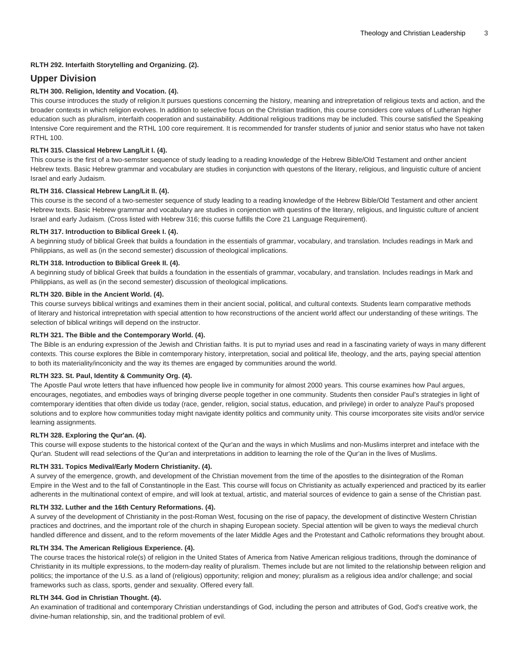#### **RLTH 292. Interfaith Storytelling and Organizing. (2).**

## **Upper Division**

#### **RLTH 300. Religion, Identity and Vocation. (4).**

This course introduces the study of religion.It pursues questions concerning the history, meaning and intrepretation of religious texts and action, and the broader contexts in which religion evolves. In addition to selective focus on the Christian tradition, this course considers core values of Lutheran higher education such as pluralism, interfaith cooperation and sustainability. Additional religious traditions may be included. This course satisfied the Speaking Intensive Core requirement and the RTHL 100 core requirement. It is recommended for transfer students of junior and senior status who have not taken RTHL 100.

#### **RLTH 315. Classical Hebrew Lang/Lit I. (4).**

This course is the first of a two-semster sequence of study leading to a reading knowledge of the Hebrew Bible/Old Testament and onther ancient Hebrew texts. Basic Hebrew grammar and vocabulary are studies in conjunction with questons of the literary, religious, and linguistic culture of ancient Israel and early Judaism.

#### **RLTH 316. Classical Hebrew Lang/Lit II. (4).**

This course is the second of a two-semester sequence of study leading to a reading knowledge of the Hebrew Bible/Old Testament and other ancient Hebrew texts. Basic Hebrew grammar and vocabulary are studies in conjenction with questins of the literary, religious, and linguistic culture of ancient Israel and early Judaism. (Cross listed with Hebrew 316; this cuorse fulfills the Core 21 Language Requirement).

#### **RLTH 317. Introduction to Biblical Greek I. (4).**

A beginning study of biblical Greek that builds a foundation in the essentials of grammar, vocabulary, and translation. Includes readings in Mark and Philippians, as well as (in the second semester) discussion of theological implications.

#### **RLTH 318. Introduction to Biblical Greek II. (4).**

A beginning study of biblical Greek that builds a foundation in the essentials of grammar, vocabulary, and translation. Includes readings in Mark and Philippians, as well as (in the second semester) discussion of theological implications.

#### **RLTH 320. Bible in the Ancient World. (4).**

This course surveys biblical writings and examines them in their ancient social, political, and cultural contexts. Students learn comparative methods of literary and historical intrepretation with special attention to how reconstructions of the ancient world affect our understanding of these writings. The selection of biblical writings will depend on the instructor.

#### **RLTH 321. The Bible and the Contemporary World. (4).**

The Bible is an enduring expression of the Jewish and Christian faiths. It is put to myriad uses and read in a fascinating variety of ways in many different contexts. This course explores the Bible in comtemporary history, interpretation, social and political life, theology, and the arts, paying special attention to both its materiality/inconicity and the way its themes are engaged by communities around the world.

#### **RLTH 323. St. Paul, Identity & Community Org. (4).**

The Apostle Paul wrote letters that have influenced how people live in community for almost 2000 years. This course examines how Paul argues, encourages, negotiates, and embodies ways of bringing diverse people together in one community. Students then consider Paul's strategies in light of comtemporary identities that often divide us today (race, gender, religion, social status, education, and privilege) in order to analyze Paul's proposed solutions and to explore how communities today might navigate identity politics and community unity. This course imcorporates site visits and/or service learning assignments.

#### **RLTH 328. Exploring the Qur'an. (4).**

This course will expose students to the historical context of the Qur'an and the ways in which Muslims and non-Muslims interpret and inteface with the Qur'an. Student will read selections of the Qur'an and interpretations in addition to learning the role of the Qur'an in the lives of Muslims.

#### **RLTH 331. Topics Medival/Early Modern Christianity. (4).**

A survey of the emergence, growth, and development of the Christian movement from the time of the apostles to the disintegration of the Roman Empire in the West and to the fall of Constantinople in the East. This course will focus on Christianity as actually experienced and practiced by its earlier adherents in the multinational context of empire, and will look at textual, artistic, and material sources of evidence to gain a sense of the Christian past.

#### **RLTH 332. Luther and the 16th Century Reformations. (4).**

A survey of the development of Christianity in the post-Roman West, focusing on the rise of papacy, the development of distinctive Western Christian practices and doctrines, and the important role of the church in shaping European society. Special attention will be given to ways the medieval church handled difference and dissent, and to the reform movements of the later Middle Ages and the Protestant and Catholic reformations they brought about.

#### **RLTH 334. The American Religious Experience. (4).**

The course traces the historical role(s) of religion in the United States of America from Native American religious traditions, through the dominance of Christianity in its multiple expressions, to the modern-day reality of pluralism. Themes include but are not limited to the relationship between religion and politics; the importance of the U.S. as a land of (religious) opportunity; religion and money; pluralism as a religious idea and/or challenge; and social frameworks such as class, sports, gender and sexuality. Offered every fall.

#### **RLTH 344. God in Christian Thought. (4).**

An examination of traditional and contemporary Christian understandings of God, including the person and attributes of God, God's creative work, the divine-human relationship, sin, and the traditional problem of evil.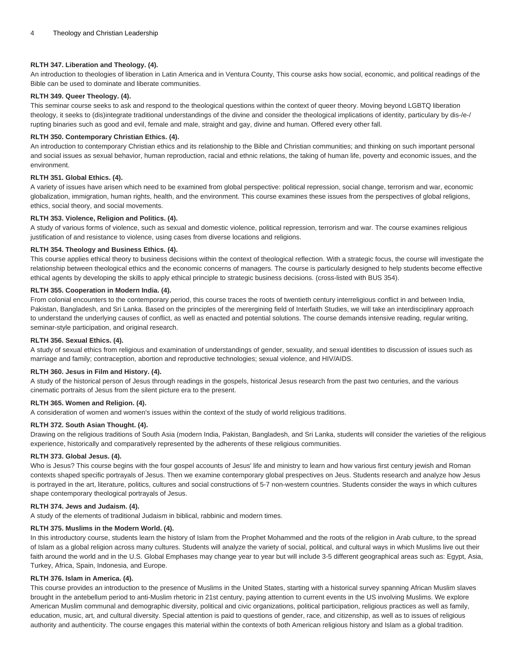#### **RLTH 347. Liberation and Theology. (4).**

An introduction to theologies of liberation in Latin America and in Ventura County, This course asks how social, economic, and political readings of the Bible can be used to dominate and liberate communities.

#### **RLTH 349. Queer Theology. (4).**

This seminar course seeks to ask and respond to the theological questions within the context of queer theory. Moving beyond LGBTQ liberation theology, it seeks to (dis)integrate traditional understandings of the divine and consider the theological implications of identity, particulary by dis-/e-/ rupting binaries such as good and evil, female and male, straight and gay, divine and human. Offered every other fall.

#### **RLTH 350. Contemporary Christian Ethics. (4).**

An introduction to contemporary Christian ethics and its relationship to the Bible and Christian communities; and thinking on such important personal and social issues as sexual behavior, human reproduction, racial and ethnic relations, the taking of human life, poverty and economic issues, and the environment.

#### **RLTH 351. Global Ethics. (4).**

A variety of issues have arisen which need to be examined from global perspective: political repression, social change, terrorism and war, economic globalization, immigration, human rights, health, and the environment. This course examines these issues from the perspectives of global religions, ethics, social theory, and social movements.

#### **RLTH 353. Violence, Religion and Politics. (4).**

A study of various forms of violence, such as sexual and domestic violence, political repression, terrorism and war. The course examines religious justification of and resistance to violence, using cases from diverse locations and religions.

#### **RLTH 354. Theology and Business Ethics. (4).**

This course applies ethical theory to business decisions within the context of theological reflection. With a strategic focus, the course will investigate the relationship between theological ethics and the economic concerns of managers. The course is particularly designed to help students become effective ethical agents by developing the skills to apply ethical principle to strategic business decisions. (cross-listed with [BUS 354](/search/?P=BUS%20354)).

#### **RLTH 355. Cooperation in Modern India. (4).**

From colonial encounters to the contemporary period, this course traces the roots of twentieth century interreligious conflict in and between India, Pakistan, Bangladesh, and Sri Lanka. Based on the principles of the merergining field of Interfaith Studies, we will take an interdisciplinary approach to understand the underlying causes of conflict, as well as enacted and potential solutions. The course demands intensive reading, regular writing, seminar-style participation, and original research.

#### **RLTH 356. Sexual Ethics. (4).**

A study of sexual ethics from religious and examination of understandings of gender, sexuality, and sexual identities to discussion of issues such as marriage and family; contraception, abortion and reproductive technologies; sexual violence, and HIV/AIDS.

#### **RLTH 360. Jesus in Film and History. (4).**

A study of the historical person of Jesus through readings in the gospels, historical Jesus research from the past two centuries, and the various cinematic portraits of Jesus from the silent picture era to the present.

#### **RLTH 365. Women and Religion. (4).**

A consideration of women and women's issues within the context of the study of world religious traditions.

#### **RLTH 372. South Asian Thought. (4).**

Drawing on the religious traditions of South Asia (modern India, Pakistan, Bangladesh, and Sri Lanka, students will consider the varieties of the religious experience, historically and comparatively represented by the adherents of these religious communities.

#### **RLTH 373. Global Jesus. (4).**

Who is Jesus? This course begins with the four gospel accounts of Jesus' life and ministry to learn and how various first century jewish and Roman contexts shaped specific portrayals of Jesus. Then we examine contemporary global prespectives on Jeus. Students research and analyze how Jesus is portrayed in the art, literature, politics, cultures and social constructions of 5-7 non-western countries. Students consider the ways in which cultures shape contemporary theological portrayals of Jesus.

#### **RLTH 374. Jews and Judaism. (4).**

A study of the elements of traditional Judaism in biblical, rabbinic and modern times.

#### **RLTH 375. Muslims in the Modern World. (4).**

In this introductory course, students learn the history of Islam from the Prophet Mohammed and the roots of the religion in Arab culture, to the spread of Islam as a global religion across many cultures. Students will analyze the variety of social, political, and cultural ways in which Muslims live out their faith around the world and in the U.S. Global Emphases may change year to year but will include 3-5 different geographical areas such as: Egypt, Asia, Turkey, Africa, Spain, Indonesia, and Europe.

#### **RLTH 376. Islam in America. (4).**

This course provides an introduction to the presence of Muslims in the United States, starting with a historical survey spanning African Muslim slaves brought in the antebellum period to anti-Muslim rhetoric in 21st century, paying attention to current events in the US involving Muslims. We explore American Muslim communal and demographic diversity, political and civic organizations, political participation, religious practices as well as family, education, music, art, and cultural diversity. Special attention is paid to questions of gender, race, and citizenship, as well as to issues of religious authority and authenticity. The course engages this material within the contexts of both American religious history and Islam as a global tradition.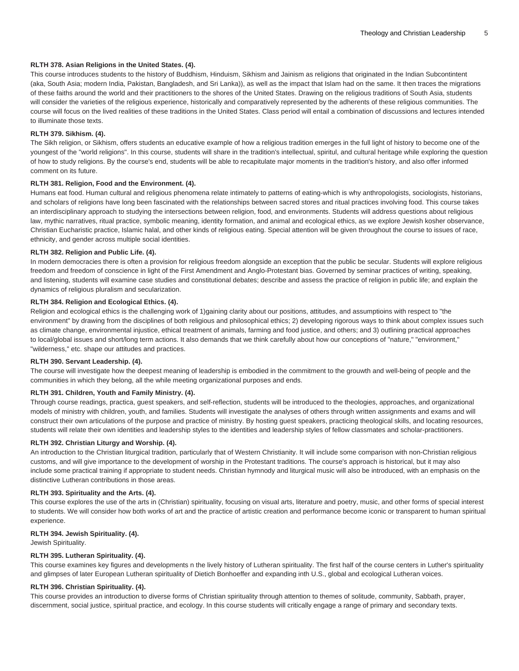#### **RLTH 378. Asian Religions in the United States. (4).**

This course introduces students to the history of Buddhism, Hinduism, Sikhism and Jainism as religions that originated in the Indian Subcontintent (aka, South Asia; modern India, Pakistan, Bangladesh, and Sri Lanka)), as well as the impact that Islam had on the same. It then traces the migrations of these faiths around the world and their practitioners to the shores of the United States. Drawing on the religious traditions of South Asia, students will consider the varieties of the religious experience, historically and comparatively represented by the adherents of these religious communities. The course will focus on the lived realities of these traditions in the United States. Class period will entail a combination of discussions and lectures intended to illuminate those texts.

#### **RLTH 379. Sikhism. (4).**

The Sikh religion, or Sikhism, offers students an educative example of how a religious tradition emerges in the full light of history to become one of the youngest of the "world religions". In this course, students will share in the tradition's intellectual, spiritul, and cultural heritage while exploring the question of how to study religions. By the course's end, students will be able to recapitulate major moments in the tradition's history, and also offer informed comment on its future.

#### **RLTH 381. Religion, Food and the Environment. (4).**

Humans eat food. Human cultural and religious phenomena relate intimately to patterns of eating-which is why anthropologists, sociologists, historians, and scholars of religions have long been fascinated with the relationships between sacred stores and ritual practices involving food. This course takes an interdisciplinary approach to studying the intersections between religion, food, and environments. Students will address questions about religious law, mythic narratives, ritual practice, symbolic meaning, identity formation, and animal and ecological ethics, as we explore Jewish kosher observance, Christian Eucharistic practice, Islamic halal, and other kinds of religious eating. Special attention will be given throughout the course to issues of race, ethnicity, and gender across multiple social identities.

#### **RLTH 382. Religion and Public Life. (4).**

In modern democracies there is often a provision for religious freedom alongside an exception that the public be secular. Students will explore religious freedom and freedom of conscience in light of the First Amendment and Anglo-Protestant bias. Governed by seminar practices of writing, speaking, and listening, students will examine case studies and constitutional debates; describe and assess the practice of religion in public life; and explain the dynamics of religious pluralism and secularization.

#### **RLTH 384. Religion and Ecological Ethics. (4).**

Religion and ecological ethics is the challenging work of 1)gaining clarity about our positions, attitudes, and assumptioins with respect to "the environment" by drawing from the disciplines of both religious and philosophical ethics; 2) developing rigorous ways to think about complex issues such as climate change, environmental injustice, ethical treatment of animals, farming and food justice, and others; and 3) outlining practical approaches to local/global issues and short/long term actions. It also demands that we think carefully about how our conceptions of "nature," "environment," "wilderness," etc. shape our attitudes and practices.

#### **RLTH 390. Servant Leadership. (4).**

The course will investigate how the deepest meaning of leadership is embodied in the commitment to the grouwth and well-being of people and the communities in which they belong, all the while meeting organizational purposes and ends.

#### **RLTH 391. Children, Youth and Family Ministry. (4).**

Through course readings, practica, guest speakers, and self-reflection, students will be introduced to the theologies, approaches, and organizational models of ministry with children, youth, and families. Students will investigate the analyses of others through written assignments and exams and will construct their own articulations of the purpose and practice of ministry. By hosting guest speakers, practicing theological skills, and locating resources, students will relate their own identities and leadership styles to the identities and leadership styles of fellow classmates and scholar-practitioners.

#### **RLTH 392. Christian Liturgy and Worship. (4).**

An introduction to the Christian liturgical tradition, particularly that of Western Christianity. It will include some comparison with non-Christian religious customs, and will give importance to the development of worship in the Protestant traditions. The course's approach is historical, but it may also include some practical training if appropriate to student needs. Christian hymnody and liturgical music will also be introduced, with an emphasis on the distinctive Lutheran contributions in those areas.

#### **RLTH 393. Spirituality and the Arts. (4).**

This course explores the use of the arts in (Christian) spirituality, focusing on visual arts, literature and poetry, music, and other forms of special interest to students. We will consider how both works of art and the practice of artistic creation and performance become iconic or transparent to human spiritual experience.

#### **RLTH 394. Jewish Spirituality. (4).**

Jewish Spirituality.

#### **RLTH 395. Lutheran Spirituality. (4).**

This course examines key figures and developments n the lively history of Lutheran spirituality. The first half of the course centers in Luther's spirituality and glimpses of later European Lutheran spirituality of Dietich Bonhoeffer and expanding inth U.S., global and ecological Lutheran voices.

#### **RLTH 396. Christian Spirituality. (4).**

This course provides an introduction to diverse forms of Christian spirituality through attention to themes of solitude, community, Sabbath, prayer, discernment, social justice, spiritual practice, and ecology. In this course students will critically engage a range of primary and secondary texts.